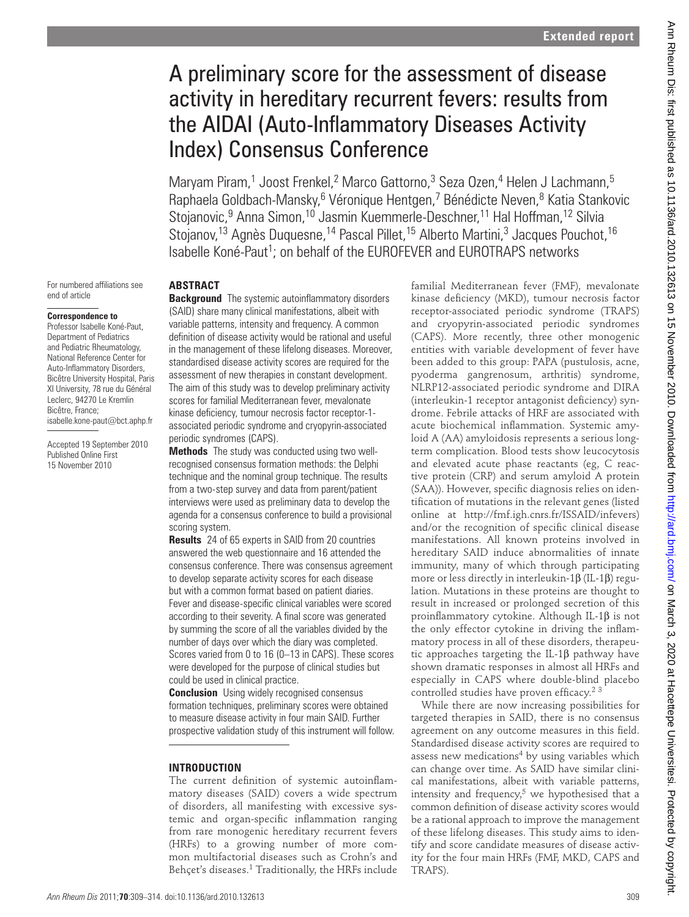# A preliminary score for the assessment of disease activity in hereditary recurrent fevers: results from the AIDAI (Auto-Inflammatory Diseases Activity Index) Consensus Conference

Maryam Piram,<sup>1</sup> Joost Frenkel,<sup>2</sup> Marco Gattorno,<sup>3</sup> Seza Ozen,<sup>4</sup> Helen J Lachmann,<sup>5</sup> Raphaela Goldbach-Mansky,<sup>6</sup> Véronique Hentgen,<sup>7</sup> Bénédicte Neven,<sup>8</sup> Katia Stankovic Stojanovic,<sup>9</sup> Anna Simon,<sup>10</sup> Jasmin Kuemmerle-Deschner,<sup>11</sup> Hal Hoffman,<sup>12</sup> Silvia Stojanov,<sup>13</sup> Agnès Duquesne,<sup>14</sup> Pascal Pillet,<sup>15</sup> Alberto Martini,<sup>3</sup> Jacques Pouchot,<sup>16</sup> Isabelle Koné-Paut<sup>1</sup>; on behalf of the EUROFEVER and EUROTRAPS networks

For numbered affiliations see end of article

#### **Correspondence to**

Professor Isabelle Koné-Paut, Department of Pediatrics and Pediatric Rheumatology, National Reference Center for Auto-Inflammatory Disorders, Bicêtre University Hospital, Paris XI University, 78 rue du Général Leclerc, 94270 Le Kremlin Bicêtre, France; isabelle.kone-paut@bct.aphp.fr

Accepted 19 September 2010 Published Online First 15 November 2010

**Background** The systemic autoinflammatory disorders (SAID) share many clinical manifestations, albeit with variable patterns, intensity and frequency. A common definition of disease activity would be rational and useful in the management of these lifelong diseases. Moreover, standardised disease activity scores are required for the assessment of new therapies in constant development. The aim of this study was to develop preliminary activity scores for familial Mediterranean fever, mevalonate kinase deficiency, tumour necrosis factor receptor-1associated periodic syndrome and cryopyrin-associated

 **ABSTRACT** 

periodic syndromes (CAPS).  **Methods** The study was conducted using two wellrecognised consensus formation methods: the Delphi technique and the nominal group technique. The results from a two-step survey and data from parent/patient interviews were used as preliminary data to develop the agenda for a consensus conference to build a provisional

scoring system.  **Results** 24 of 65 experts in SAID from 20 countries answered the web questionnaire and 16 attended the consensus conference. There was consensus agreement to develop separate activity scores for each disease but with a common format based on patient diaries. Fever and disease-specific clinical variables were scored according to their severity. A final score was generated by summing the score of all the variables divided by the number of days over which the diary was completed. Scores varied from 0 to 16 (0–13 in CAPS). These scores were developed for the purpose of clinical studies but could be used in clinical practice.

 **Conclusion** Using widely recognised consensus formation techniques, preliminary scores were obtained to measure disease activity in four main SAID. Further prospective validation study of this instrument will follow.

## **INTRODUCTION**

The current definition of systemic autoinflammatory diseases (SAID) covers a wide spectrum of disorders, all manifesting with excessive systemic and organ-specific inflammation ranging from rare monogenic hereditary recurrent fevers (HRFs) to a growing number of more common multifactorial diseases such as Crohn's and Behçet's diseases.<sup>1</sup> Traditionally, the HRFs include

familial Mediterranean fever (FMF), mevalonate kinase deficiency (MKD), tumour necrosis factor receptor-associated periodic syndrome (TRAPS) and cryopyrin-associated periodic syndromes (CAPS). More recently, three other monogenic entities with variable development of fever have been added to this group: PAPA (pustulosis, acne, pyoderma gangrenosum, arthritis) syndrome, NLRP12-associated periodic syndrome and DIRA (interleukin-1 receptor antagonist deficiency) syndrome. Febrile attacks of HRF are associated with acute biochemical inflammation. Systemic amyloid A (AA) amyloidosis represents a serious longterm complication. Blood tests show leucocytosis and elevated acute phase reactants (eg, C reactive protein (CRP) and serum amyloid A protein (SAA)). However, specific diagnosis relies on identification of mutations in the relevant genes (listed online at http://fmf.igh.cnrs.fr/ISSAID/infevers) and/or the recognition of specific clinical disease manifestations. All known proteins involved in hereditary SAID induce abnormalities of innate immunity, many of which through participating more or less directly in interleukin-1β (IL-1β) regulation. Mutations in these proteins are thought to result in increased or prolonged secretion of this proinflammatory cytokine. Although IL-1β is not the only effector cytokine in driving the inflammatory process in all of these disorders, therapeutic approaches targeting the IL-1 $\beta$  pathway have shown dramatic responses in almost all HRFs and especially in CAPS where double-blind placebo controlled studies have proven efficacy.<sup>23</sup> A preliminary score for the assessment depend<br>activity in hereditary recurrent fevers; results results and<br>activity in hereditary recurrent fevers; results results in<br>the AIDMI (Auto-Inflammatory Discasses Activity)<br>Index

While there are now increasing possibilities for targeted therapies in SAID, there is no consensus agreement on any outcome measures in this field. Standardised disease activity scores are required to assess new medications<sup>4</sup> by using variables which can change over time. As SAID have similar clinical manifestations, albeit with variable patterns, intensity and frequency, $5$  we hypothesised that a common definition of disease activity scores would be a rational approach to improve the management of these lifelong diseases. This study aims to identify and score candidate measures of disease activity for the four main HRFs (FMF, MKD, CAPS and TRAPS).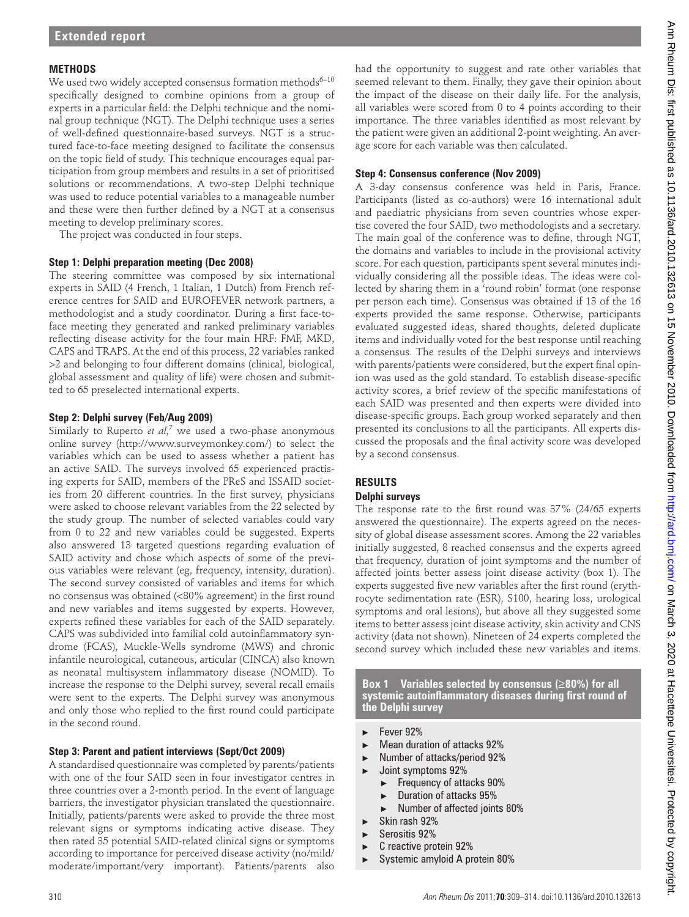#### **METHODS**

We used two widely accepted consensus formation methods $6-10$ specifically designed to combine opinions from a group of experts in a particular field: the Delphi technique and the nominal group technique (NGT). The Delphi technique uses a series of well-defined questionnaire-based surveys. NGT is a structured face-to-face meeting designed to facilitate the consensus on the topic field of study. This technique encourages equal participation from group members and results in a set of prioritised solutions or recommendations. A two-step Delphi technique was used to reduce potential variables to a manageable number and these were then further defined by a NGT at a consensus meeting to develop preliminary scores.

The project was conducted in four steps.

#### **Step 1: Delphi preparation meeting (Dec 2008)**

The steering committee was composed by six international experts in SAID (4 French, 1 Italian, 1 Dutch) from French reference centres for SAID and EUROFEVER network partners, a methodologist and a study coordinator. During a first face-toface meeting they generated and ranked preliminary variables reflecting disease activity for the four main HRF: FMF, MKD, CAPS and TRAPS. At the end of this process, 22 variables ranked >2 and belonging to four different domains (clinical, biological, global assessment and quality of life) were chosen and submitted to 65 preselected international experts.

#### **Step 2: Delphi survey (Feb/Aug 2009)**

Similarly to Ruperto et al,<sup>7</sup> we used a two-phase anonymous online survey (http://www.surveymonkey.com/) to select the variables which can be used to assess whether a patient has an active SAID. The surveys involved 65 experienced practising experts for SAID, members of the PReS and ISSAID societies from 20 different countries. In the first survey, physicians were asked to choose relevant variables from the 22 selected by the study group. The number of selected variables could vary from 0 to 22 and new variables could be suggested. Experts also answered 13 targeted questions regarding evaluation of SAID activity and chose which aspects of some of the previous variables were relevant (eg, frequency, intensity, duration). The second survey consisted of variables and items for which no consensus was obtained  $\langle$ <80% agreement) in the first round and new variables and items suggested by experts. However, experts refined these variables for each of the SAID separately. CAPS was subdivided into familial cold autoinflammatory syndrome (FCAS), Muckle-Wells syndrome (MWS) and chronic infantile neurological, cutaneous, articular (CINCA) also known as neonatal multisystem inflammatory disease (NOMID). To increase the response to the Delphi survey, several recall emails were sent to the experts. The Delphi survey was anonymous and only those who replied to the first round could participate in the second round. It is noted to part. The same of the same of the same of the same of the same of the same of the same of the same of the same of the same of the same of the same of the same of the same of the same of the same of the same

#### **Step 3: Parent and patient interviews (Sept/Oct 2009)**

A standardised questionnaire was completed by parents/patients with one of the four SAID seen in four investigator centres in three countries over a 2-month period. In the event of language barriers, the investigator physician translated the questionnaire. Initially, patients/parents were asked to provide the three most relevant signs or symptoms indicating active disease. They then rated 35 potential SAID-related clinical signs or symptoms according to importance for perceived disease activity (no/mild/ moderate/important/very important). Patients/parents also

had the opportunity to suggest and rate other variables that seemed relevant to them. Finally, they gave their opinion about the impact of the disease on their daily life. For the analysis, all variables were scored from 0 to 4 points according to their importance. The three variables identified as most relevant by the patient were given an additional 2-point weighting. An average score for each variable was then calculated.

### **Step 4: Consensus conference (Nov 2009)**

A 3-day consensus conference was held in Paris, France. Participants (listed as co-authors) were 16 international adult and paediatric physicians from seven countries whose expertise covered the four SAID, two methodologists and a secretary. The main goal of the conference was to define, through NGT, the domains and variables to include in the provisional activity score. For each question, participants spent several minutes individually considering all the possible ideas. The ideas were collected by sharing them in a 'round robin' format (one response per person each time). Consensus was obtained if 13 of the 16 experts provided the same response. Otherwise, participants evaluated suggested ideas, shared thoughts, deleted duplicate items and individually voted for the best response until reaching a consensus. The results of the Delphi surveys and interviews with parents/patients were considered, but the expert final opinion was used as the gold standard. To establish disease-specific activity scores, a brief review of the specific manifestations of each SAID was presented and then experts were divided into disease-specific groups. Each group worked separately and then presented its conclusions to all the participants. All experts discussed the proposals and the final activity score was developed by a second consensus.

## **RESULTS**

#### **Delphi surveys**

The response rate to the first round was  $37\%$  (24/65 experts answered the questionnaire). The experts agreed on the necessity of global disease assessment scores. Among the 22 variables initially suggested, 8 reached consensus and the experts agreed that frequency, duration of joint symptoms and the number of affected joints better assess joint disease activity (box 1). The experts suggested five new variables after the first round (erythrocyte sedimentation rate (ESR), S100, hearing loss, urological symptoms and oral lesions), but above all they suggested some items to better assess joint disease activity, skin activity and CNS activity (data not shown). Nineteen of 24 experts completed the second survey which included these new variables and items.

**Box 1 Variables selected by consensus (**≥ **80%) for all**  systemic autoinflammatory diseases during first round of **the Delphi survey**

- ▶ Fever 92%
- ▶ Mean duration of attacks 92%
- ▶ Number of attacks/period 92%
- ▶ Joint symptoms 92%
	- ▶ Frequency of attacks 90%
	- ▶ Duration of attacks 95%
	- ▶ Number of affected joints 80%
- Skin rash 92%
- Serositis 92%
- ▶ C reactive protein 92%
- ▶ Systemic amyloid A protein 80%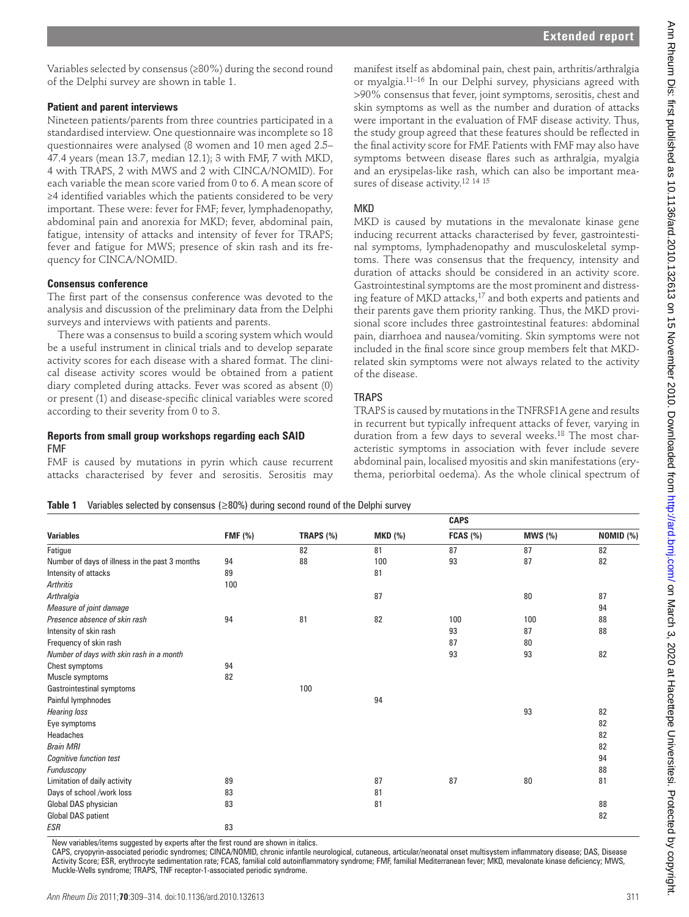#### **Patient and parent interviews**

#### **Consensus conference**

#### **Reports from small group workshops regarding each SAID**  FMF

## **MKD**

## **TRAPS**

|  |  |  | <b>Table 1</b> Variables selected by consensus $(\geq 80%)$ during second round of the Delphi survey |  |
|--|--|--|------------------------------------------------------------------------------------------------------|--|
|--|--|--|------------------------------------------------------------------------------------------------------|--|

| Variables selected by consensus (≥80%) during the second round<br>of the Delphi survey are shown in table 1.<br><b>Patient and parent interviews</b><br>Nineteen patients/parents from three countries participated in a                                                                                                                                                                                                                                                                                                                                                                                                                                                                                                                                                                                                                                           | manifest itself as abdominal pain, chest pain, arthritis/arthralgia<br>or myalgia. <sup>11-16</sup> In our Delphi survey, physicians agreed with<br>>90% consensus that fever, joint symptoms, serositis, chest and<br>skin symptoms as well as the number and duration of attacks                                                                                                          |           |                                                                         |                 |                                                                                                                                                                                                                                                                                                                           |                  |
|--------------------------------------------------------------------------------------------------------------------------------------------------------------------------------------------------------------------------------------------------------------------------------------------------------------------------------------------------------------------------------------------------------------------------------------------------------------------------------------------------------------------------------------------------------------------------------------------------------------------------------------------------------------------------------------------------------------------------------------------------------------------------------------------------------------------------------------------------------------------|---------------------------------------------------------------------------------------------------------------------------------------------------------------------------------------------------------------------------------------------------------------------------------------------------------------------------------------------------------------------------------------------|-----------|-------------------------------------------------------------------------|-----------------|---------------------------------------------------------------------------------------------------------------------------------------------------------------------------------------------------------------------------------------------------------------------------------------------------------------------------|------------------|
| standardised interview. One questionnaire was incomplete so 18<br>questionnaires were analysed (8 women and 10 men aged 2.5-<br>47.4 years (mean 13.7, median 12.1); 3 with FMF, 7 with MKD,<br>4 with TRAPS, 2 with MWS and 2 with CINCA/NOMID). For<br>each variable the mean score varied from 0 to 6. A mean score of<br>≥4 identified variables which the patients considered to be very                                                                                                                                                                                                                                                                                                                                                                                                                                                                      | were important in the evaluation of FMF disease activity. Thus,<br>the study group agreed that these features should be reflected in<br>the final activity score for FMF. Patients with FMF may also have<br>symptoms between disease flares such as arthralgia, myalgia<br>and an erysipelas-like rash, which can also be important mea-<br>sures of disease activity. <sup>12 14 15</sup> |           |                                                                         |                 |                                                                                                                                                                                                                                                                                                                           |                  |
| important. These were: fever for FMF; fever, lymphadenopathy,<br>abdominal pain and anorexia for MKD; fever, abdominal pain,<br>fatigue, intensity of attacks and intensity of fever for TRAPS;<br>fever and fatigue for MWS; presence of skin rash and its fre-<br>quency for CINCA/NOMID.                                                                                                                                                                                                                                                                                                                                                                                                                                                                                                                                                                        |                                                                                                                                                                                                                                                                                                                                                                                             |           | <b>MKD</b>                                                              |                 | MKD is caused by mutations in the mevalonate kinase gene<br>inducing recurrent attacks characterised by fever, gastrointesti-<br>nal symptoms, lymphadenopathy and musculoskeletal symp-<br>toms. There was consensus that the frequency, intensity and<br>duration of attacks should be considered in an activity score. |                  |
| <b>Consensus conference</b><br>The first part of the consensus conference was devoted to the<br>analysis and discussion of the preliminary data from the Delphi<br>surveys and interviews with patients and parents.                                                                                                                                                                                                                                                                                                                                                                                                                                                                                                                                                                                                                                               |                                                                                                                                                                                                                                                                                                                                                                                             |           |                                                                         |                 | Gastrointestinal symptoms are the most prominent and distress-<br>ing feature of MKD attacks, <sup>17</sup> and both experts and patients and<br>their parents gave them priority ranking. Thus, the MKD provi-<br>sional score includes three gastrointestinal features: abdominal                                       |                  |
| There was a consensus to build a scoring system which would<br>be a useful instrument in clinical trials and to develop separate<br>activity scores for each disease with a shared format. The clini-<br>cal disease activity scores would be obtained from a patient                                                                                                                                                                                                                                                                                                                                                                                                                                                                                                                                                                                              |                                                                                                                                                                                                                                                                                                                                                                                             |           | of the disease.                                                         |                 | pain, diarrhoea and nausea/vomiting. Skin symptoms were not<br>included in the final score since group members felt that MKD-<br>related skin symptoms were not always related to the activity                                                                                                                            |                  |
| diary completed during attacks. Fever was scored as absent (0)<br>or present (1) and disease-specific clinical variables were scored<br>according to their severity from 0 to 3.                                                                                                                                                                                                                                                                                                                                                                                                                                                                                                                                                                                                                                                                                   |                                                                                                                                                                                                                                                                                                                                                                                             |           | <b>TRAPS</b>                                                            |                 | TRAPS is caused by mutations in the TNFRSF1A gene and results<br>in recurrent but typically infrequent attacks of fever, varying in                                                                                                                                                                                       |                  |
|                                                                                                                                                                                                                                                                                                                                                                                                                                                                                                                                                                                                                                                                                                                                                                                                                                                                    |                                                                                                                                                                                                                                                                                                                                                                                             |           |                                                                         |                 |                                                                                                                                                                                                                                                                                                                           |                  |
|                                                                                                                                                                                                                                                                                                                                                                                                                                                                                                                                                                                                                                                                                                                                                                                                                                                                    |                                                                                                                                                                                                                                                                                                                                                                                             |           | duration from a few days to several weeks. <sup>18</sup> The most char- |                 | acteristic symptoms in association with fever include severe<br>abdominal pain, localised myositis and skin manifestations (ery-<br>thema, periorbital oedema). As the whole clinical spectrum of                                                                                                                         |                  |
| Variables selected by consensus (≥80%) during second round of the Delphi survey                                                                                                                                                                                                                                                                                                                                                                                                                                                                                                                                                                                                                                                                                                                                                                                    |                                                                                                                                                                                                                                                                                                                                                                                             |           |                                                                         | <b>CAPS</b>     |                                                                                                                                                                                                                                                                                                                           |                  |
|                                                                                                                                                                                                                                                                                                                                                                                                                                                                                                                                                                                                                                                                                                                                                                                                                                                                    | <b>FMF (%)</b>                                                                                                                                                                                                                                                                                                                                                                              | TRAPS (%) | <b>MKD (%)</b>                                                          | <b>FCAS (%)</b> | MWS (%)                                                                                                                                                                                                                                                                                                                   | <b>NOMID (%)</b> |
|                                                                                                                                                                                                                                                                                                                                                                                                                                                                                                                                                                                                                                                                                                                                                                                                                                                                    |                                                                                                                                                                                                                                                                                                                                                                                             | 82        | 81                                                                      | 87              | 87                                                                                                                                                                                                                                                                                                                        | 82               |
|                                                                                                                                                                                                                                                                                                                                                                                                                                                                                                                                                                                                                                                                                                                                                                                                                                                                    | 94<br>89                                                                                                                                                                                                                                                                                                                                                                                    | 88        | 100<br>81                                                               | 93              | 87                                                                                                                                                                                                                                                                                                                        | 82               |
|                                                                                                                                                                                                                                                                                                                                                                                                                                                                                                                                                                                                                                                                                                                                                                                                                                                                    | 100                                                                                                                                                                                                                                                                                                                                                                                         |           |                                                                         |                 |                                                                                                                                                                                                                                                                                                                           |                  |
|                                                                                                                                                                                                                                                                                                                                                                                                                                                                                                                                                                                                                                                                                                                                                                                                                                                                    |                                                                                                                                                                                                                                                                                                                                                                                             |           | 87                                                                      |                 | 80                                                                                                                                                                                                                                                                                                                        | 87               |
|                                                                                                                                                                                                                                                                                                                                                                                                                                                                                                                                                                                                                                                                                                                                                                                                                                                                    |                                                                                                                                                                                                                                                                                                                                                                                             |           |                                                                         |                 |                                                                                                                                                                                                                                                                                                                           | 94               |
|                                                                                                                                                                                                                                                                                                                                                                                                                                                                                                                                                                                                                                                                                                                                                                                                                                                                    | 94                                                                                                                                                                                                                                                                                                                                                                                          | 81        | 82                                                                      | 100<br>93       | 100<br>87                                                                                                                                                                                                                                                                                                                 | 88<br>88         |
|                                                                                                                                                                                                                                                                                                                                                                                                                                                                                                                                                                                                                                                                                                                                                                                                                                                                    |                                                                                                                                                                                                                                                                                                                                                                                             |           |                                                                         | 87              | 80                                                                                                                                                                                                                                                                                                                        |                  |
|                                                                                                                                                                                                                                                                                                                                                                                                                                                                                                                                                                                                                                                                                                                                                                                                                                                                    |                                                                                                                                                                                                                                                                                                                                                                                             |           |                                                                         | 93              | 93                                                                                                                                                                                                                                                                                                                        | 82               |
|                                                                                                                                                                                                                                                                                                                                                                                                                                                                                                                                                                                                                                                                                                                                                                                                                                                                    | 94                                                                                                                                                                                                                                                                                                                                                                                          |           |                                                                         |                 |                                                                                                                                                                                                                                                                                                                           |                  |
|                                                                                                                                                                                                                                                                                                                                                                                                                                                                                                                                                                                                                                                                                                                                                                                                                                                                    | 82                                                                                                                                                                                                                                                                                                                                                                                          | 100       |                                                                         |                 |                                                                                                                                                                                                                                                                                                                           |                  |
|                                                                                                                                                                                                                                                                                                                                                                                                                                                                                                                                                                                                                                                                                                                                                                                                                                                                    |                                                                                                                                                                                                                                                                                                                                                                                             |           | 94                                                                      |                 |                                                                                                                                                                                                                                                                                                                           |                  |
|                                                                                                                                                                                                                                                                                                                                                                                                                                                                                                                                                                                                                                                                                                                                                                                                                                                                    |                                                                                                                                                                                                                                                                                                                                                                                             |           |                                                                         |                 | 93                                                                                                                                                                                                                                                                                                                        | 82               |
|                                                                                                                                                                                                                                                                                                                                                                                                                                                                                                                                                                                                                                                                                                                                                                                                                                                                    |                                                                                                                                                                                                                                                                                                                                                                                             |           |                                                                         |                 |                                                                                                                                                                                                                                                                                                                           | 82               |
|                                                                                                                                                                                                                                                                                                                                                                                                                                                                                                                                                                                                                                                                                                                                                                                                                                                                    |                                                                                                                                                                                                                                                                                                                                                                                             |           |                                                                         |                 |                                                                                                                                                                                                                                                                                                                           | 82               |
|                                                                                                                                                                                                                                                                                                                                                                                                                                                                                                                                                                                                                                                                                                                                                                                                                                                                    |                                                                                                                                                                                                                                                                                                                                                                                             |           |                                                                         |                 |                                                                                                                                                                                                                                                                                                                           | 82<br>94         |
|                                                                                                                                                                                                                                                                                                                                                                                                                                                                                                                                                                                                                                                                                                                                                                                                                                                                    |                                                                                                                                                                                                                                                                                                                                                                                             |           |                                                                         |                 |                                                                                                                                                                                                                                                                                                                           | 88               |
|                                                                                                                                                                                                                                                                                                                                                                                                                                                                                                                                                                                                                                                                                                                                                                                                                                                                    | 89                                                                                                                                                                                                                                                                                                                                                                                          |           | 87                                                                      | 87              | 80                                                                                                                                                                                                                                                                                                                        | 81               |
|                                                                                                                                                                                                                                                                                                                                                                                                                                                                                                                                                                                                                                                                                                                                                                                                                                                                    | 83                                                                                                                                                                                                                                                                                                                                                                                          |           | 81                                                                      |                 |                                                                                                                                                                                                                                                                                                                           |                  |
|                                                                                                                                                                                                                                                                                                                                                                                                                                                                                                                                                                                                                                                                                                                                                                                                                                                                    | 83                                                                                                                                                                                                                                                                                                                                                                                          |           | 81                                                                      |                 |                                                                                                                                                                                                                                                                                                                           | 88<br>82         |
| Reports from small group workshops regarding each SAID<br><b>FMF</b><br>FMF is caused by mutations in pyrin which cause recurrent<br>attacks characterised by fever and serositis. Serositis may<br>Table 1<br><b>Variables</b><br>Fatigue<br>Number of days of illness in the past 3 months<br>Intensity of attacks<br><b>Arthritis</b><br>Arthralgia<br>Measure of joint damage<br>Presence absence of skin rash<br>Intensity of skin rash<br>Frequency of skin rash<br>Number of days with skin rash in a month<br>Chest symptoms<br>Muscle symptoms<br><b>Gastrointestinal symptoms</b><br>Painful lymphnodes<br><b>Hearing loss</b><br>Eye symptoms<br>Headaches<br><b>Brain MRI</b><br><b>Cognitive function test</b><br>Funduscopy<br>Limitation of daily activity<br>Days of school /work loss<br>Global DAS physician<br><b>Global DAS patient</b><br>ESR | 83                                                                                                                                                                                                                                                                                                                                                                                          |           |                                                                         |                 |                                                                                                                                                                                                                                                                                                                           |                  |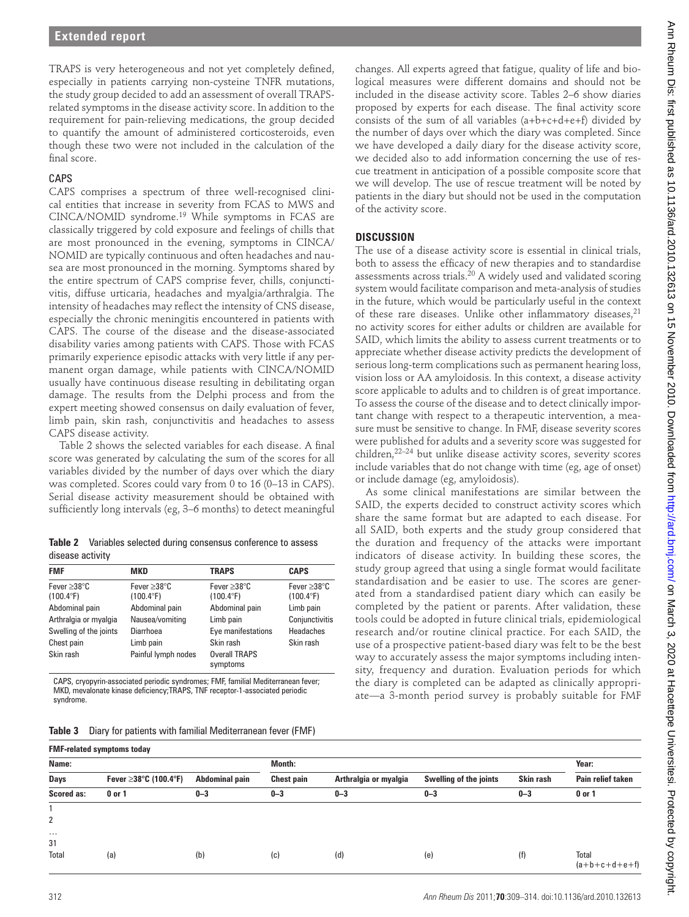## CAPS

 **Table 2** Variables selected during consensus conference to assess disease activity

| <b>FMF</b>                                      | <b>MKD</b>                                      | <b>TRAPS</b>                                    | <b>CAPS</b>                                     |
|-------------------------------------------------|-------------------------------------------------|-------------------------------------------------|-------------------------------------------------|
| Fever $\geq 38^{\circ}$ C<br>$(100.4^{\circ}F)$ | Fever $\geq 38^{\circ}$ C<br>$(100.4^{\circ}F)$ | Fever $\geq 38^{\circ}$ C<br>$(100.4^{\circ}F)$ | Fever $\geq 38^{\circ}$ C<br>$(100.4^{\circ}F)$ |
| Abdominal pain                                  | Abdominal pain                                  | Abdominal pain                                  | Limb pain                                       |
| Arthralgia or myalgia                           | Nausea/vomiting                                 | Limb pain                                       | Conjunctivitis                                  |
| Swelling of the joints                          | Diarrhoea                                       | Eye manifestations                              | Headaches                                       |
| Chest pain                                      | Limb pain                                       | Skin rash                                       | Skin rash                                       |
| Skin rash                                       | Painful lymph nodes                             | Overall TRAPS<br>symptoms                       |                                                 |

|  |  |  |  |  |  | Table 3 Diary for patients with familial Mediterranean fever (FMF) |  |  |  |
|--|--|--|--|--|--|--------------------------------------------------------------------|--|--|--|
|--|--|--|--|--|--|--------------------------------------------------------------------|--|--|--|

## **DISCUSSION**

|                                                                              |        |                                                                  | TRAPS is very heterogeneous and not yet completely defined,<br>especially in patients carrying non-cysteine TNFR mutations,<br>the study group decided to add an assessment of overall TRAPS-                                                                                                                                                                                                                                                                                                                                                                                                                                                                                                                                                                                                                                                                        |                                                |                        | changes. All experts agreed that fatigue, quality of life and bio-<br>logical measures were different domains and should not be<br>included in the disease activity score. Tables 2-6 show diaries                                                                                                                                                                                                                                                                                                                                                                                                                                                                                                                                                                                                                                                                                                                                                                                                              |           |                   |
|------------------------------------------------------------------------------|--------|------------------------------------------------------------------|----------------------------------------------------------------------------------------------------------------------------------------------------------------------------------------------------------------------------------------------------------------------------------------------------------------------------------------------------------------------------------------------------------------------------------------------------------------------------------------------------------------------------------------------------------------------------------------------------------------------------------------------------------------------------------------------------------------------------------------------------------------------------------------------------------------------------------------------------------------------|------------------------------------------------|------------------------|-----------------------------------------------------------------------------------------------------------------------------------------------------------------------------------------------------------------------------------------------------------------------------------------------------------------------------------------------------------------------------------------------------------------------------------------------------------------------------------------------------------------------------------------------------------------------------------------------------------------------------------------------------------------------------------------------------------------------------------------------------------------------------------------------------------------------------------------------------------------------------------------------------------------------------------------------------------------------------------------------------------------|-----------|-------------------|
|                                                                              |        |                                                                  | related symptoms in the disease activity score. In addition to the<br>requirement for pain-relieving medications, the group decided<br>to quantify the amount of administered corticosteroids, even                                                                                                                                                                                                                                                                                                                                                                                                                                                                                                                                                                                                                                                                  |                                                |                        | proposed by experts for each disease. The final activity score<br>consists of the sum of all variables (a+b+c+d+e+f) divided by<br>the number of days over which the diary was completed. Since                                                                                                                                                                                                                                                                                                                                                                                                                                                                                                                                                                                                                                                                                                                                                                                                                 |           |                   |
| final score.                                                                 |        |                                                                  | though these two were not included in the calculation of the                                                                                                                                                                                                                                                                                                                                                                                                                                                                                                                                                                                                                                                                                                                                                                                                         |                                                |                        | we have developed a daily diary for the disease activity score,<br>we decided also to add information concerning the use of res-                                                                                                                                                                                                                                                                                                                                                                                                                                                                                                                                                                                                                                                                                                                                                                                                                                                                                |           |                   |
| CAPS                                                                         |        |                                                                  | CAPS comprises a spectrum of three well-recognised clini-<br>cal entities that increase in severity from FCAS to MWS and<br>CINCA/NOMID syndrome. <sup>19</sup> While symptoms in FCAS are                                                                                                                                                                                                                                                                                                                                                                                                                                                                                                                                                                                                                                                                           |                                                | of the activity score. | cue treatment in anticipation of a possible composite score that<br>we will develop. The use of rescue treatment will be noted by<br>patients in the diary but should not be used in the computation                                                                                                                                                                                                                                                                                                                                                                                                                                                                                                                                                                                                                                                                                                                                                                                                            |           |                   |
|                                                                              |        |                                                                  | classically triggered by cold exposure and feelings of chills that<br>are most pronounced in the evening, symptoms in CINCA/<br>NOMID are typically continuous and often headaches and nau-<br>sea are most pronounced in the morning. Symptoms shared by                                                                                                                                                                                                                                                                                                                                                                                                                                                                                                                                                                                                            |                                                | <b>DISCUSSION</b>      | The use of a disease activity score is essential in clinical trials,<br>both to assess the efficacy of new therapies and to standardise                                                                                                                                                                                                                                                                                                                                                                                                                                                                                                                                                                                                                                                                                                                                                                                                                                                                         |           |                   |
| CAPS disease activity.                                                       |        |                                                                  | the entire spectrum of CAPS comprise fever, chills, conjuncti-<br>vitis, diffuse urticaria, headaches and myalgia/arthralgia. The<br>intensity of headaches may reflect the intensity of CNS disease,<br>especially the chronic meningitis encountered in patients with<br>CAPS. The course of the disease and the disease-associated<br>disability varies among patients with CAPS. Those with FCAS<br>primarily experience episodic attacks with very little if any per-<br>manent organ damage, while patients with CINCA/NOMID<br>usually have continuous disease resulting in debilitating organ<br>damage. The results from the Delphi process and from the<br>expert meeting showed consensus on daily evaluation of fever,<br>limb pain, skin rash, conjunctivitis and headaches to assess<br>Table 2 shows the selected variables for each disease. A final |                                                |                        | assessments across trials. <sup>20</sup> A widely used and validated scoring<br>system would facilitate comparison and meta-analysis of studies<br>in the future, which would be particularly useful in the context<br>of these rare diseases. Unlike other inflammatory diseases, <sup>21</sup><br>no activity scores for either adults or children are available for<br>SAID, which limits the ability to assess current treatments or to<br>appreciate whether disease activity predicts the development of<br>serious long-term complications such as permanent hearing loss,<br>vision loss or AA amyloidosis. In this context, a disease activity<br>score applicable to adults and to children is of great importance.<br>To assess the course of the disease and to detect clinically impor-<br>tant change with respect to a therapeutic intervention, a mea-<br>sure must be sensitive to change. In FMF, disease severity scores<br>were published for adults and a severity score was suggested for |           |                   |
|                                                                              |        | <b>MKD</b>                                                       | score was generated by calculating the sum of the scores for all<br>variables divided by the number of days over which the diary<br>was completed. Scores could vary from 0 to 16 (0-13 in CAPS).<br>Serial disease activity measurement should be obtained with<br>sufficiently long intervals (eg, 3-6 months) to detect meaningful<br>Table 2 Variables selected during consensus conference to assess<br><b>TRAPS</b>                                                                                                                                                                                                                                                                                                                                                                                                                                            | <b>CAPS</b>                                    |                        | children, <sup>22-24</sup> but unlike disease activity scores, severity scores<br>include variables that do not change with time (eg, age of onset)<br>or include damage (eg, amyloidosis).<br>As some clinical manifestations are similar between the<br>SAID, the experts decided to construct activity scores which<br>share the same format but are adapted to each disease. For<br>all SAID, both experts and the study group considered that<br>the duration and frequency of the attacks were important<br>indicators of disease activity. In building these scores, the<br>study group agreed that using a single format would facilitate                                                                                                                                                                                                                                                                                                                                                               |           |                   |
| disease activity<br><b>FMF</b><br>Fever ≥38°C<br>(100.4°F)<br>Abdominal pain |        | Fever ≥38°C<br>$(100.4^{\circ}F)$<br>Abdominal pain              | Fever ≥38°C<br>(100.4°F)<br>Abdominal pain                                                                                                                                                                                                                                                                                                                                                                                                                                                                                                                                                                                                                                                                                                                                                                                                                           | Fever ≥38°C<br>$(100.4^{\circ}F)$<br>Limb pain |                        | standardisation and be easier to use. The scores are gener-<br>ated from a standardised patient diary which can easily be<br>completed by the patient or parents. After validation, these                                                                                                                                                                                                                                                                                                                                                                                                                                                                                                                                                                                                                                                                                                                                                                                                                       |           |                   |
| Arthralgia or myalgia<br>Swelling of the joints<br>Chest pain<br>Skin rash   |        | Nausea/vomiting<br>Diarrhoea<br>Limb pain<br>Painful lymph nodes | Limb pain<br>Eye manifestations<br>Skin rash<br><b>Overall TRAPS</b><br>symptoms                                                                                                                                                                                                                                                                                                                                                                                                                                                                                                                                                                                                                                                                                                                                                                                     | Conjunctivitis<br>Headaches<br>Skin rash       |                        | tools could be adopted in future clinical trials, epidemiological<br>research and/or routine clinical practice. For each SAID, the<br>use of a prospective patient-based diary was felt to be the best<br>way to accurately assess the major symptoms including inten-                                                                                                                                                                                                                                                                                                                                                                                                                                                                                                                                                                                                                                                                                                                                          |           |                   |
| syndrome.                                                                    |        |                                                                  | CAPS, cryopyrin-associated periodic syndromes; FMF, familial Mediterranean fever;<br>MKD, mevalonate kinase deficiency; TRAPS, TNF receptor-1-associated periodic                                                                                                                                                                                                                                                                                                                                                                                                                                                                                                                                                                                                                                                                                                    |                                                |                        | sity, frequency and duration. Evaluation periods for which<br>the diary is completed can be adapted as clinically appropri-<br>ate-a 3-month period survey is probably suitable for FMF                                                                                                                                                                                                                                                                                                                                                                                                                                                                                                                                                                                                                                                                                                                                                                                                                         |           |                   |
| Table 3                                                                      |        |                                                                  | Diary for patients with familial Mediterranean fever (FMF)                                                                                                                                                                                                                                                                                                                                                                                                                                                                                                                                                                                                                                                                                                                                                                                                           |                                                |                        |                                                                                                                                                                                                                                                                                                                                                                                                                                                                                                                                                                                                                                                                                                                                                                                                                                                                                                                                                                                                                 |           |                   |
| <b>FMF-related symptoms today</b><br>Name:                                   |        |                                                                  |                                                                                                                                                                                                                                                                                                                                                                                                                                                                                                                                                                                                                                                                                                                                                                                                                                                                      | <b>Month:</b>                                  |                        |                                                                                                                                                                                                                                                                                                                                                                                                                                                                                                                                                                                                                                                                                                                                                                                                                                                                                                                                                                                                                 |           | Year:             |
| Days                                                                         |        | Fever $\geq$ 38°C (100.4°F)                                      | Abdominal pain                                                                                                                                                                                                                                                                                                                                                                                                                                                                                                                                                                                                                                                                                                                                                                                                                                                       | <b>Chest pain</b>                              | Arthralgia or myalgia  | Swelling of the joints                                                                                                                                                                                                                                                                                                                                                                                                                                                                                                                                                                                                                                                                                                                                                                                                                                                                                                                                                                                          | Skin rash | Pain relief taken |
| Scored as:<br>$\mathbf{1}$<br>2                                              | 0 or 1 |                                                                  | $0 - 3$                                                                                                                                                                                                                                                                                                                                                                                                                                                                                                                                                                                                                                                                                                                                                                                                                                                              | $0 - 3$                                        | $0 - 3$                | $0 - 3$                                                                                                                                                                                                                                                                                                                                                                                                                                                                                                                                                                                                                                                                                                                                                                                                                                                                                                                                                                                                         | $0 - 3$   | 0 or 1            |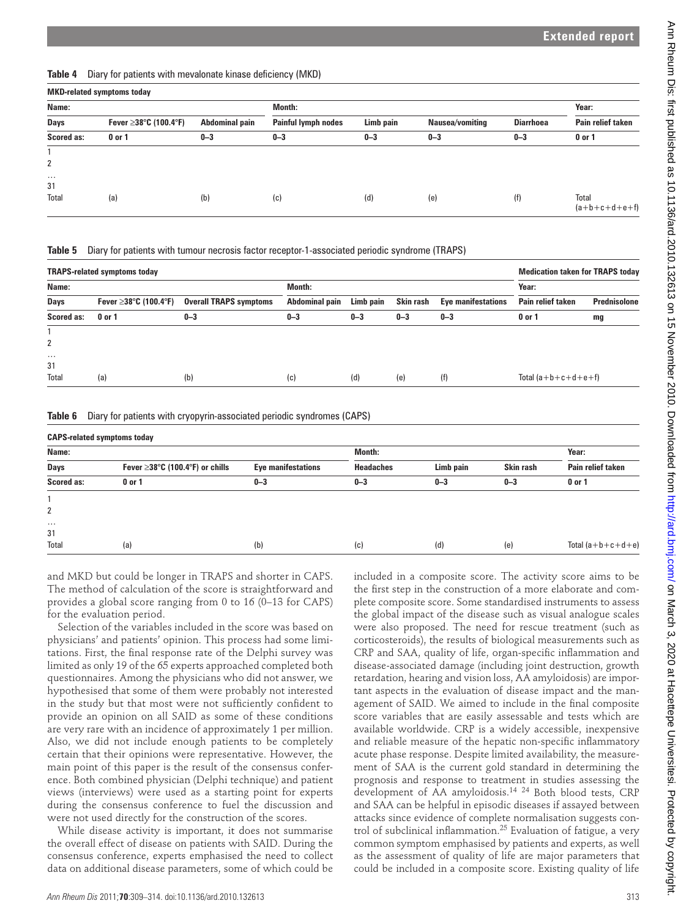|  | Table 4 Diary for patients with mevalonate kinase deficiency (MKD) |
|--|--------------------------------------------------------------------|
|--|--------------------------------------------------------------------|

| <b>MKD-related symptoms today</b> |                             |                |                     |           |                 |                  |                          |  |
|-----------------------------------|-----------------------------|----------------|---------------------|-----------|-----------------|------------------|--------------------------|--|
| Name:                             |                             |                | Month:              |           |                 |                  | Year:                    |  |
| <b>Days</b>                       | Fever $\geq$ 38°C (100.4°F) | Abdominal pain | Painful lymph nodes | Limb pain | Nausea/vomiting | <b>Diarrhoea</b> | Pain relief taken        |  |
| Scored as:                        | 0 or 1                      | $0 - 3$        | $0 - 3$             | $0 - 3$   | $0 - 3$         | $0 - 3$          | 0 or 1                   |  |
| 2                                 |                             |                |                     |           |                 |                  |                          |  |
| $\cdots$<br>31<br>Total           | (a)                         | (b)            | (c)                 | (d)       | (e)             | (f)              | Total<br>$(a+b+c+d+e+f)$ |  |

 **Table 5** Diary for patients with tumour necrosis factor receptor-1-associated periodic syndrome (TRAPS)

| <b>TRAPS-related symptoms today</b> |                             |                               |                       |           |           | <b>Medication taken for TRAPS today</b> |                       |              |
|-------------------------------------|-----------------------------|-------------------------------|-----------------------|-----------|-----------|-----------------------------------------|-----------------------|--------------|
| Name:                               |                             | Month:                        |                       |           |           | Year:                                   |                       |              |
| Days                                | Fever $\geq$ 38°C (100.4°F) | <b>Overall TRAPS symptoms</b> | <b>Abdominal pain</b> | Limb pain | Skin rash | <b>Eye manifestations</b>               | Pain relief taken     | Prednisolone |
| Scored as:                          | 0 or 1                      | $0 - 3$                       | $0 - 3$               | $0 - 3$   | $0 - 3$   | $0 - 3$                                 | 0 or 1                | mg           |
|                                     |                             |                               |                       |           |           |                                         |                       |              |
| 2                                   |                             |                               |                       |           |           |                                         |                       |              |
| $\cdots$                            |                             |                               |                       |           |           |                                         |                       |              |
| 31                                  |                             |                               |                       |           |           |                                         |                       |              |
| Total                               | (a)                         | (b)                           | (c)                   | (d)       | (e)       | (f)                                     | Total $(a+b+c+d+e+f)$ |              |
|                                     |                             |                               |                       |           |           |                                         |                       |              |

|  | Table 6 Diary for patients with cryopyrin-associated periodic syndromes (CAPS) |  |  |  |
|--|--------------------------------------------------------------------------------|--|--|--|
|--|--------------------------------------------------------------------------------|--|--|--|

| <b>CAPS-related symptoms today</b>    |                           |                  |           |           |                     |  |  |
|---------------------------------------|---------------------------|------------------|-----------|-----------|---------------------|--|--|
| Name:                                 |                           |                  | Month:    |           |                     |  |  |
| Fever $\geq$ 38°C (100.4°F) or chills | <b>Eye manifestations</b> | <b>Headaches</b> | Limb pain | Skin rash | Pain relief taken   |  |  |
| 0 or 1                                | $0 - 3$                   | $0 - 3$          | $0 - 3$   | $0 - 3$   | 0 or 1              |  |  |
|                                       |                           |                  |           |           |                     |  |  |
|                                       |                           |                  |           |           |                     |  |  |
|                                       |                           |                  |           |           |                     |  |  |
|                                       |                           |                  |           |           |                     |  |  |
| (a)                                   | (b)                       | (c)              | (d)       | (e)       | Total $(a+b+c+d+e)$ |  |  |
|                                       |                           |                  |           |           |                     |  |  |

and MKD but could be longer in TRAPS and shorter in CAPS. The method of calculation of the score is straightforward and provides a global score ranging from 0 to 16 (0–13 for CAPS) for the evaluation period.

Selection of the variables included in the score was based on physicians' and patients' opinion. This process had some limitations. First, the final response rate of the Delphi survey was limited as only 19 of the 65 experts approached completed both questionnaires. Among the physicians who did not answer, we hypothesised that some of them were probably not interested in the study but that most were not sufficiently confident to provide an opinion on all SAID as some of these conditions are very rare with an incidence of approximately 1 per million. Also, we did not include enough patients to be completely certain that their opinions were representative. However, the main point of this paper is the result of the consensus conference. Both combined physician (Delphi technique) and patient views (interviews) were used as a starting point for experts during the consensus conference to fuel the discussion and were not used directly for the construction of the scores.

While disease activity is important, it does not summarise the overall effect of disease on patients with SAID. During the consensus conference, experts emphasised the need to collect data on additional disease parameters, some of which could be

the first step in the construction of a more elaborate and complete composite score. Some standardised instruments to assess the global impact of the disease such as visual analogue scales were also proposed. The need for rescue treatment (such as corticosteroids), the results of biological measurements such as CRP and SAA, quality of life, organ-specific inflammation and disease-associated damage (including joint destruction, growth retardation, hearing and vision loss, AA amyloidosis) are important aspects in the evaluation of disease impact and the management of SAID. We aimed to include in the final composite score variables that are easily assessable and tests which are available worldwide. CRP is a widely accessible, inexpensive and reliable measure of the hepatic non-specific inflammatory acute phase response. Despite limited availability, the measurement of SAA is the current gold standard in determining the prognosis and response to treatment in studies assessing the development of AA amyloidosis. 14 24 Both blood tests, CRP and SAA can be helpful in episodic diseases if assayed between attacks since evidence of complete normalisation suggests control of subclinical inflammation.<sup>25</sup> Evaluation of fatigue, a very common symptom emphasised by patients and experts, as well as the assessment of quality of life are major parameters that could be included in a composite score. Existing quality of life **Example 2**  $\frac{1}{2}$ <br> **Example 3**  $\frac{1}{2}$   $\frac{1}{2}$  **Consider the Constraint Constraint Constraint Constraint Constraint Constraint Constraint Constraint Constraint Constraint Constraint Constraint Constraint Constrain** 

included in a composite score. The activity score aims to be